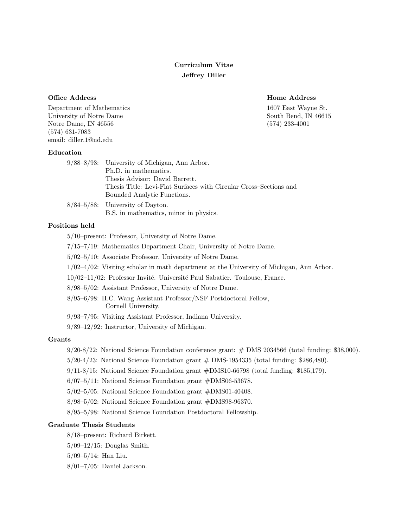# Curriculum Vitae Jeffrey Diller

Office Address **Home Address** Home Address **Home Address** 

Department of Mathematics 1607 East Wayne St. University of Notre Dame South Bend, IN 46615 Notre Dame, IN 46556 (574) 233-4001 (574) 631-7083 email: diller.1@nd.edu

### Education

| $9/88-8/93$ : University of Michigan, Ann Arbor.                  |
|-------------------------------------------------------------------|
| Ph.D. in mathematics.                                             |
| Thesis Advisor: David Barrett.                                    |
| Thesis Title: Levi-Flat Surfaces with Circular Cross-Sections and |
| Bounded Analytic Functions.                                       |
| $8/84-5/88$ : University of Dayton.                               |
| B.S. in mathematics, minor in physics.                            |

# Positions held

5/10–present: Professor, University of Notre Dame.

- 7/15–7/19: Mathematics Department Chair, University of Notre Dame.
- 5/02–5/10: Associate Professor, University of Notre Dame.
- 1/02–4/02: Visiting scholar in math department at the University of Michigan, Ann Arbor.
- $10/02-11/02$ : Professor Invité. Université Paul Sabatier. Toulouse, France.
- 8/98–5/02: Assistant Professor, University of Notre Dame.
- 8/95–6/98: H.C. Wang Assistant Professor/NSF Postdoctoral Fellow, Cornell University.
- 9/93–7/95: Visiting Assistant Professor, Indiana University.
- 9/89–12/92: Instructor, University of Michigan.

# Grants

- 9/20-8/22: National Science Foundation conference grant: # DMS 2034566 (total funding: \$38,000).
- 5/20-4/23: National Science Foundation grant # DMS-1954335 (total funding: \$286,480).
- 9/11-8/15: National Science Foundation grant #DMS10-66798 (total funding: \$185,179).
- 6/07–5/11: National Science Foundation grant #DMS06-53678.
- 5/02–5/05: National Science Foundation grant #DMS01-40408.
- 8/98–5/02: National Science Foundation grant #DMS98-96370.
- 8/95–5/98: National Science Foundation Postdoctoral Fellowship.

# Graduate Thesis Students

- 8/18–present: Richard Birkett.
- 5/09–12/15: Douglas Smith.
- 5/09–5/14: Han Liu.
- 8/01–7/05: Daniel Jackson.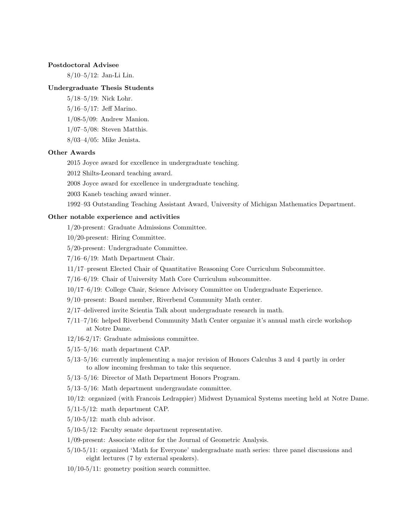# Postdoctoral Advisee

8/10–5/12: Jan-Li Lin.

# Undergraduate Thesis Students

- 5/18–5/19: Nick Lohr.
- 5/16–5/17: Jeff Marino.
- 1/08-5/09: Andrew Manion.
- 1/07–5/08: Steven Matthis.
- 8/03–4/05: Mike Jenista.

## Other Awards

- 2015 Joyce award for excellence in undergraduate teaching.
- 2012 Shilts-Leonard teaching award.
- 2008 Joyce award for excellence in undergraduate teaching.
- 2003 Kaneb teaching award winner.

1992–93 Outstanding Teaching Assistant Award, University of Michigan Mathematics Department.

#### Other notable experience and activities

- 1/20-present: Graduate Admissions Committee.
- 10/20-present: Hiring Committee.
- 5/20-present: Undergraduate Committee.
- 7/16–6/19: Math Department Chair.
- 11/17–present Elected Chair of Quantitative Reasoning Core Curriculum Subcommittee.
- 7/16–6/19: Chair of University Math Core Curriculum subcommittee.
- 10/17–6/19: College Chair, Science Advisory Committee on Undergraduate Experience.
- 9/10–present: Board member, Riverbend Community Math center.
- 2/17–delivered invite Scientia Talk about undergraduate research in math.
- 7/11–7/16: helped Riverbend Community Math Center organize it's annual math circle workshop at Notre Dame.
- 12/16-2/17: Graduate admissions committee.
- 5/15–5/16: math department CAP.
- 5/13–5/16: currently implementing a major revision of Honors Calculus 3 and 4 partly in order to allow incoming freshman to take this sequence.
- 5/13–5/16: Director of Math Department Honors Program.
- 5/13–5/16: Math department undergraudate committee.

10/12: organized (with Francois Ledrappier) Midwest Dynamical Systems meeting held at Notre Dame.

- 5/11-5/12: math department CAP.
- $5/10-5/12$ : math club advisor.
- 5/10-5/12: Faculty senate department representative.
- 1/09-present: Associate editor for the Journal of Geometric Analysis.
- 5/10-5/11: organized 'Math for Everyone' undergraduate math series: three panel discussions and eight lectures (7 by external speakers).
- 10/10-5/11: geometry position search committee.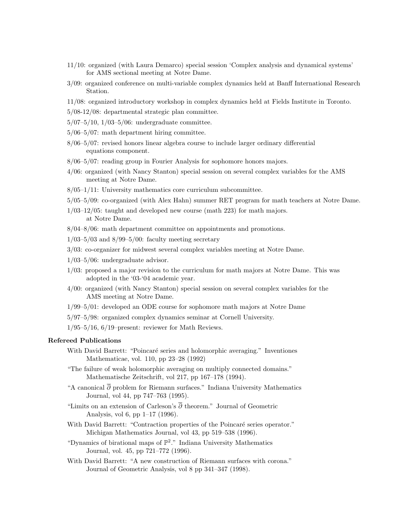- 11/10: organized (with Laura Demarco) special session 'Complex analysis and dynamical systems' for AMS sectional meeting at Notre Dame.
- 3/09: organized conference on multi-variable complex dynamics held at Banff International Research Station.
- 11/08: organized introductory workshop in complex dynamics held at Fields Institute in Toronto.
- 5/08-12/08: departmental strategic plan committee.
- 5/07–5/10, 1/03–5/06: undergraduate committee.
- 5/06–5/07: math department hiring committee.
- 8/06–5/07: revised honors linear algebra course to include larger ordinary differential equations component.
- 8/06–5/07: reading group in Fourier Analysis for sophomore honors majors.
- 4/06: organized (with Nancy Stanton) special session on several complex variables for the AMS meeting at Notre Dame.
- 8/05–1/11: University mathematics core curriculum subcommittee.
- 5/05–5/09: co-organized (with Alex Hahn) summer RET program for math teachers at Notre Dame.
- 1/03–12/05: taught and developed new course (math 223) for math majors. at Notre Dame.
- 8/04–8/06: math department committee on appointments and promotions.
- $1/03-5/03$  and  $8/99-5/00$ : faculty meeting secretary
- 3/03: co-organizer for midwest several complex variables meeting at Notre Dame.
- 1/03–5/06: undergraduate advisor.
- 1/03: proposed a major revision to the curriculum for math majors at Notre Dame. This was adopted in the '03-'04 academic year.
- 4/00: organized (with Nancy Stanton) special session on several complex variables for the AMS meeting at Notre Dame.
- 1/99–5/01: developed an ODE course for sophomore math majors at Notre Dame
- 5/97–5/98: organized complex dynamics seminar at Cornell University.
- $1/95-5/16$ ,  $6/19$ -present: reviewer for Math Reviews.

#### Refereed Publications

- With David Barrett: "Poincaré series and holomorphic averaging." Inventiones Mathematicae, vol. 110, pp 23–28 (1992)
- "The failure of weak holomorphic averaging on multiply connected domains." Mathematische Zeitschrift, vol 217, pp 167–178 (1994).
- "A canonical  $\overline{\partial}$  problem for Riemann surfaces." Indiana University Mathematics Journal, vol 44, pp 747–763 (1995).
- "Limits on an extension of Carleson's  $\overline{\partial}$  theorem." Journal of Geometric Analysis, vol 6, pp 1–17 (1996).
- With David Barrett: "Contraction properties of the Poincaré series operator." Michigan Mathematics Journal, vol 43, pp 519–538 (1996).
- "Dynamics of birational maps of  $\mathbb{P}^2$ ." Indiana University Mathematics Journal, vol. 45, pp 721–772 (1996).
- With David Barrett: "A new construction of Riemann surfaces with corona." Journal of Geometric Analysis, vol 8 pp 341–347 (1998).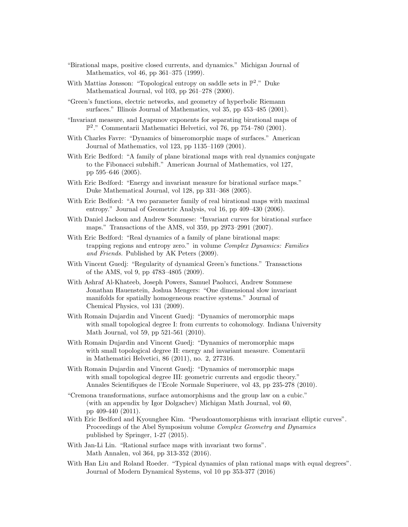- "Birational maps, positive closed currents, and dynamics." Michigan Journal of Mathematics, vol 46, pp 361–375 (1999).
- With Mattias Jonsson: "Topological entropy on saddle sets in  $\mathbb{P}^2$ ." Duke Mathematical Journal, vol 103, pp 261–278 (2000).
- "Green's functions, electric networks, and geometry of hyperbolic Riemann surfaces." Illinois Journal of Mathematics, vol 35, pp 453–485 (2001).
- "Invariant measure, and Lyapunov exponents for separating birational maps of P 2 ." Commentarii Mathematici Helvetici, vol 76, pp 754–780 (2001).
- With Charles Favre: "Dynamics of bimeromorphic maps of surfaces." American Journal of Mathematics, vol 123, pp 1135–1169 (2001).
- With Eric Bedford: "A family of plane birational maps with real dynamics conjugate to the Fibonacci subshift." American Journal of Mathematics, vol 127, pp 595–646 (2005).
- With Eric Bedford: "Energy and invariant measure for birational surface maps." Duke Mathematical Journal, vol 128, pp 331–368 (2005).
- With Eric Bedford: "A two parameter family of real birational maps with maximal entropy." Journal of Geometric Analysis, vol 16, pp 409–430 (2006).
- With Daniel Jackson and Andrew Sommese: "Invariant curves for birational surface maps." Transactions of the AMS, vol 359, pp 2973–2991 (2007).
- With Eric Bedford: "Real dynamics of a family of plane birational maps: trapping regions and entropy zero." in volume Complex Dynamics: Families and Friends. Published by AK Peters (2009).
- With Vincent Guedj: "Regularity of dynamical Green's functions." Transactions of the AMS, vol 9, pp 4783–4805 (2009).
- With Ashraf Al-Khateeb, Joseph Powers, Samuel Paolucci, Andrew Sommese Jonathan Hauenstein, Joshua Mengers: "One dimensional slow invariant manifolds for spatially homogeneous reactive systems." Journal of Chemical Physics, vol 131 (2009).
- With Romain Dujardin and Vincent Guedj: "Dynamics of meromorphic maps with small topological degree I: from currents to cohomology. Indiana University Math Journal, vol 59, pp 521-561 (2010).
- With Romain Dujardin and Vincent Guedj: "Dynamics of meromorphic maps with small topological degree II: energy and invariant measure. Comentarii in Mathematici Helvetici, 86 (2011), no. 2, 277316.
- With Romain Dujardin and Vincent Guedj: "Dynamics of meromorphic maps with small topological degree III: geometric currents and ergodic theory." Annales Scientifiques de l'Ecole Normale Superiuere, vol 43, pp 235-278 (2010).
- "Cremona transformations, surface automorphisms and the group law on a cubic." (with an appendix by Igor Dolgachev) Michigan Math Journal, vol 60, pp 409-440 (2011).
- With Eric Bedford and Kyounghee Kim. "Pseudoautomorphisms with invariant elliptic curves". Proceedings of the Abel Symposium volume Complex Geometry and Dynamics published by Springer, 1-27 (2015).
- With Jan-Li Lin. "Rational surface maps with invariant two forms". Math Annalen, vol 364, pp 313-352 (2016).
- With Han Liu and Roland Roeder. "Typical dynamics of plan rational maps with equal degrees". Journal of Modern Dynamical Systems, vol 10 pp 353-377 (2016)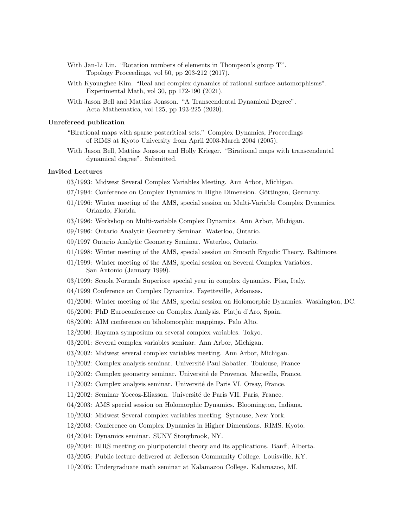- With Jan-Li Lin. "Rotation numbers of elements in Thompson's group  $T$ ". Topology Proceedings, vol 50, pp 203-212 (2017).
- With Kyounghee Kim. "Real and complex dynamics of rational surface automorphisms". Experimental Math, vol 30, pp 172-190 (2021).
- With Jason Bell and Mattias Jonsson. "A Transcendental Dynamical Degree". Acta Mathematica, vol 125, pp 193-225 (2020).

### Unrefereed publication

- "Birational maps with sparse postcritical sets." Complex Dynamics, Proceedings of RIMS at Kyoto University from April 2003-March 2004 (2005).
- With Jason Bell, Mattias Jonsson and Holly Krieger. "Birational maps with transcendental dynamical degree". Submitted.

## Invited Lectures

- 03/1993: Midwest Several Complex Variables Meeting. Ann Arbor, Michigan.
- 07/1994: Conference on Complex Dynamics in Highe Dimension. Göttingen, Germany.
- 01/1996: Winter meeting of the AMS, special session on Multi-Variable Complex Dynamics. Orlando, Florida.
- 03/1996: Workshop on Multi-variable Complex Dynamics. Ann Arbor, Michigan.
- 09/1996: Ontario Analytic Geometry Seminar. Waterloo, Ontario.
- 09/1997 Ontario Analytic Geometry Seminar. Waterloo, Ontario.
- 01/1998: Winter meeting of the AMS, special session on Smooth Ergodic Theory. Baltimore.
- 01/1999: Winter meeting of the AMS, special session on Several Complex Variables. San Antonio (January 1999).
- 03/1999: Scuola Normale Superiore special year in complex dynamics. Pisa, Italy.
- 04/1999 Conference on Complex Dynamics. Fayetteville, Arkansas.
- 01/2000: Winter meeting of the AMS, special session on Holomorphic Dynamics. Washington, DC.
- 06/2000: PhD Euroconference on Complex Analysis. Platja d'Aro, Spain.
- 08/2000: AIM conference on biholomorphic mappings. Palo Alto.
- 12/2000: Hayama symposium on several complex variables. Tokyo.
- 03/2001: Several complex variables seminar. Ann Arbor, Michigan.
- 03/2002: Midwest several complex variables meeting. Ann Arbor, Michigan.
- 10/2002: Complex analysis seminar. Universit´e Paul Sabatier. Toulouse, France
- 10/2002: Complex geometry seminar. Université de Provence. Marseille, France.
- 11/2002: Complex analysis seminar. Université de Paris VI. Orsay, France.
- 11/2002: Seminar Yoccoz-Eliasson. Université de Paris VII. Paris, France.
- 04/2003: AMS special session on Holomorphic Dynamics. Bloomington, Indiana.
- 10/2003: Midwest Several complex variables meeting. Syracuse, New York.
- 12/2003: Conference on Complex Dynamics in Higher Dimensions. RIMS. Kyoto.
- 04/2004: Dynamics seminar. SUNY Stonybrook, NY.
- 09/2004: BIRS meeting on pluripotential theory and its applications. Banff, Alberta.
- 03/2005: Public lecture delivered at Jefferson Community College. Louisville, KY.
- 10/2005: Undergraduate math seminar at Kalamazoo College. Kalamazoo, MI.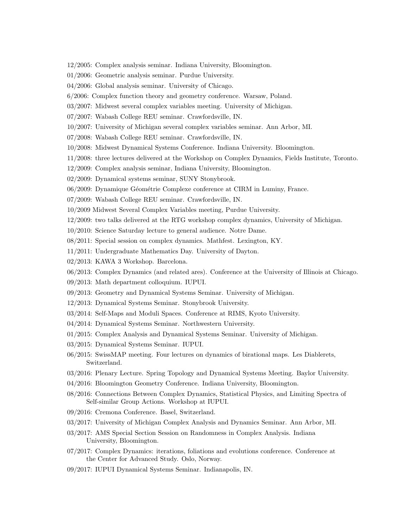- 12/2005: Complex analysis seminar. Indiana University, Bloomington.
- 01/2006: Geometric analysis seminar. Purdue University.
- 04/2006: Global analysis seminar. University of Chicago.
- 6/2006: Complex function theory and geometry conference. Warsaw, Poland.
- 03/2007: Midwest several complex variables meeting. University of Michigan.
- 07/2007: Wabash College REU seminar. Crawfordsville, IN.
- 10/2007: University of Michigan several complex variables seminar. Ann Arbor, MI.
- 07/2008: Wabash College REU seminar. Crawfordsville, IN.
- 10/2008: Midwest Dynamical Systems Conference. Indiana University. Bloomington.
- 11/2008: three lectures delivered at the Workshop on Complex Dynamics, Fields Institute, Toronto.
- 12/2009: Complex analysis seminar, Indiana University, Bloomington.
- 02/2009: Dynamical systems seminar, SUNY Stonybrook.
- 06/2009: Dynamique Géométrie Complexe conference at CIRM in Luminy, France.
- 07/2009: Wabash College REU seminar. Crawfordsville, IN.
- 10/2009 Midwest Several Complex Variables meeting, Purdue University.
- 12/2009: two talks delivered at the RTG workshop complex dynamics, University of Michigan.
- 10/2010: Science Saturday lecture to general audience. Notre Dame.
- 08/2011: Special session on complex dynamics. Mathfest. Lexington, KY.
- 11/2011: Undergraduate Mathematics Day. University of Dayton.
- 02/2013: KAWA 3 Workshop. Barcelona.
- 06/2013: Complex Dynamics (and related ares). Conference at the University of Illinois at Chicago.
- 09/2013: Math department colloquium. IUPUI.
- 09/2013: Geometry and Dynamical Systems Seminar. University of Michigan.
- 12/2013: Dynamical Systems Seminar. Stonybrook University.
- 03/2014: Self-Maps and Moduli Spaces. Conference at RIMS, Kyoto University.
- 04/2014: Dynamical Systems Seminar. Northwestern University.
- 01/2015: Complex Analysis and Dynamical Systems Seminar. University of Michigan.
- 03/2015: Dynamical Systems Seminar. IUPUI.
- 06/2015: SwissMAP meeting. Four lectures on dynamics of birational maps. Les Diablerets, Switzerland.
- 03/2016: Plenary Lecture. Spring Topology and Dynamical Systems Meeting. Baylor University.
- 04/2016: Bloomington Geometry Conference. Indiana University, Bloomington.
- 08/2016: Connections Between Complex Dynamics, Statistical Physics, and Limiting Spectra of Self-similar Group Actions. Workshop at IUPUI.
- 09/2016: Cremona Conference. Basel, Switzerland.
- 03/2017: University of Michigan Complex Analysis and Dynamics Seminar. Ann Arbor, MI.
- 03/2017: AMS Special Section Session on Randomness in Complex Analysis. Indiana University, Bloomington.
- 07/2017: Complex Dynamics: iterations, foliations and evolutions conference. Conference at the Center for Advanced Study. Oslo, Norway.
- 09/2017: IUPUI Dynamical Systems Seminar. Indianapolis, IN.